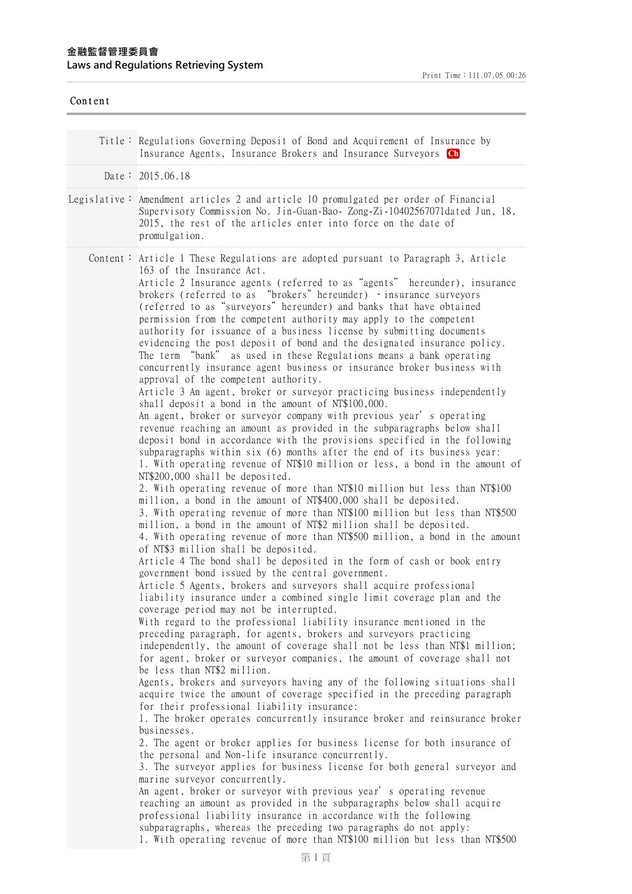| Content |                                                                                                                                                                                                                                                                                                                                                                                                                                                                                                                                                                                                                                                                                                                                                                                                                                                                                                                                                                                                                                                                                                                                                                                                                                                                                                                                                                                                                                                                                                                                                                                                                                                                                                                                                                                                                                                                                                                                                                                                                                                                                                                                                                                                                                                                                                                                                                                                                                                                                                                                                                                                                                                                                                                                                                                                                                                                                                                                                                                                                                                                                                                                                                                                                                                                                                                                                                      |
|---------|----------------------------------------------------------------------------------------------------------------------------------------------------------------------------------------------------------------------------------------------------------------------------------------------------------------------------------------------------------------------------------------------------------------------------------------------------------------------------------------------------------------------------------------------------------------------------------------------------------------------------------------------------------------------------------------------------------------------------------------------------------------------------------------------------------------------------------------------------------------------------------------------------------------------------------------------------------------------------------------------------------------------------------------------------------------------------------------------------------------------------------------------------------------------------------------------------------------------------------------------------------------------------------------------------------------------------------------------------------------------------------------------------------------------------------------------------------------------------------------------------------------------------------------------------------------------------------------------------------------------------------------------------------------------------------------------------------------------------------------------------------------------------------------------------------------------------------------------------------------------------------------------------------------------------------------------------------------------------------------------------------------------------------------------------------------------------------------------------------------------------------------------------------------------------------------------------------------------------------------------------------------------------------------------------------------------------------------------------------------------------------------------------------------------------------------------------------------------------------------------------------------------------------------------------------------------------------------------------------------------------------------------------------------------------------------------------------------------------------------------------------------------------------------------------------------------------------------------------------------------------------------------------------------------------------------------------------------------------------------------------------------------------------------------------------------------------------------------------------------------------------------------------------------------------------------------------------------------------------------------------------------------------------------------------------------------------------------------------------------------|
|         | Title: Regulations Governing Deposit of Bond and Acquirement of Insurance by<br>Insurance Agents, Insurance Brokers and Insurance Surveyors Ch                                                                                                                                                                                                                                                                                                                                                                                                                                                                                                                                                                                                                                                                                                                                                                                                                                                                                                                                                                                                                                                                                                                                                                                                                                                                                                                                                                                                                                                                                                                                                                                                                                                                                                                                                                                                                                                                                                                                                                                                                                                                                                                                                                                                                                                                                                                                                                                                                                                                                                                                                                                                                                                                                                                                                                                                                                                                                                                                                                                                                                                                                                                                                                                                                       |
|         | Date: $2015.06.18$                                                                                                                                                                                                                                                                                                                                                                                                                                                                                                                                                                                                                                                                                                                                                                                                                                                                                                                                                                                                                                                                                                                                                                                                                                                                                                                                                                                                                                                                                                                                                                                                                                                                                                                                                                                                                                                                                                                                                                                                                                                                                                                                                                                                                                                                                                                                                                                                                                                                                                                                                                                                                                                                                                                                                                                                                                                                                                                                                                                                                                                                                                                                                                                                                                                                                                                                                   |
|         | Legislative: Amendment articles 2 and article 10 promulgated per order of Financial<br>Supervisory Commission No. Jin-Guan-Bao- Zong-Zi-10402567071dated Jun, 18,<br>2015, the rest of the articles enter into force on the date of<br>promulgation.                                                                                                                                                                                                                                                                                                                                                                                                                                                                                                                                                                                                                                                                                                                                                                                                                                                                                                                                                                                                                                                                                                                                                                                                                                                                                                                                                                                                                                                                                                                                                                                                                                                                                                                                                                                                                                                                                                                                                                                                                                                                                                                                                                                                                                                                                                                                                                                                                                                                                                                                                                                                                                                                                                                                                                                                                                                                                                                                                                                                                                                                                                                 |
|         | Content: Article 1 These Regulations are adopted pursuant to Paragraph 3, Article<br>163 of the Insurance Act.<br>Article 2 Insurance agents (referred to as "agents" hereunder), insurance<br>brokers (referred to as "brokers" hereunder) vinsurance surveyors<br>(referred to as "surveyors" hereunder) and banks that have obtained<br>permission from the competent authority may apply to the competent<br>authority for issuance of a business license by submitting documents<br>evidencing the post deposit of bond and the designated insurance policy.<br>The term "bank" as used in these Regulations means a bank operating<br>concurrently insurance agent business or insurance broker business with<br>approval of the competent authority.<br>Article 3 An agent, broker or surveyor practicing business independently<br>shall deposit a bond in the amount of NT\$100,000.<br>An agent, broker or surveyor company with previous year's operating<br>revenue reaching an amount as provided in the subparagraphs below shall<br>deposit bond in accordance with the provisions specified in the following<br>subparagraphs within six (6) months after the end of its business year:<br>1. With operating revenue of NT\$10 million or less, a bond in the amount of<br>NT\$200,000 shall be deposited.<br>2. With operating revenue of more than NT\$10 million but less than NT\$100<br>million, a bond in the amount of NT\$400,000 shall be deposited.<br>3. With operating revenue of more than NT\$100 million but less than NT\$500<br>million, a bond in the amount of NT\$2 million shall be deposited.<br>4. With operating revenue of more than NT\$500 million, a bond in the amount<br>of NT\$3 million shall be deposited.<br>Article 4 The bond shall be deposited in the form of cash or book entry<br>government bond issued by the central government.<br>Article 5 Agents, brokers and surveyors shall acquire professional<br>liability insurance under a combined single limit coverage plan and the<br>coverage period may not be interrupted.<br>With regard to the professional liability insurance mentioned in the<br>preceding paragraph, for agents, brokers and surveyors practicing<br>independently, the amount of coverage shall not be less than NT\$1 million;<br>for agent, broker or surveyor companies, the amount of coverage shall not<br>be less than NT\$2 million.<br>Agents, brokers and surveyors having any of the following situations shall<br>acquire twice the amount of coverage specified in the preceding paragraph<br>for their professional liability insurance:<br>1. The broker operates concurrently insurance broker and reinsurance broker<br>businesses.<br>2. The agent or broker applies for business license for both insurance of<br>the personal and Non-life insurance concurrently.<br>3. The surveyor applies for business license for both general surveyor and<br>marine surveyor concurrently.<br>An agent, broker or surveyor with previous year's operating revenue<br>reaching an amount as provided in the subparagraphs below shall acquire<br>professional liability insurance in accordance with the following<br>subparagraphs, whereas the preceding two paragraphs do not apply:<br>1. With operating revenue of more than NT\$100 million but less than NT\$500 |